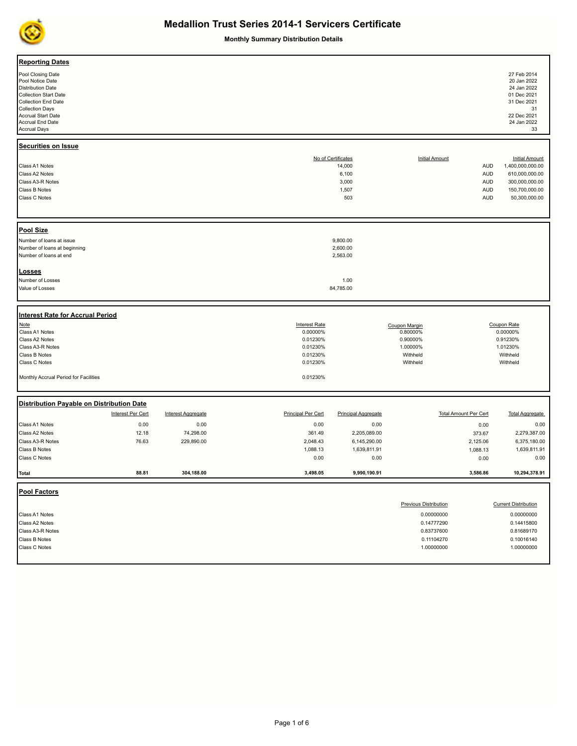

**Monthly Summary Distribution Details**

| <b>Reporting Dates</b><br>Pool Closing Date<br>Pool Notice Date<br><b>Distribution Date</b><br>Collection Start Date<br>Collection End Date<br><b>Collection Days</b><br><b>Accrual Start Date</b><br>Accrual End Date<br><b>Accrual Days</b> |                        |                                 |                                                                                              |                                                                |                                                                                                    |                                                                    | 27 Feb 2014<br>20 Jan 2022<br>24 Jan 2022<br>01 Dec 2021<br>31 Dec 2021<br>31<br>22 Dec 2021<br>24 Jan 2022<br>33 |
|-----------------------------------------------------------------------------------------------------------------------------------------------------------------------------------------------------------------------------------------------|------------------------|---------------------------------|----------------------------------------------------------------------------------------------|----------------------------------------------------------------|----------------------------------------------------------------------------------------------------|--------------------------------------------------------------------|-------------------------------------------------------------------------------------------------------------------|
| <b>Securities on Issue</b><br>Class A1 Notes<br>Class A2 Notes<br>Class A3-R Notes<br>Class B Notes<br>Class C Notes                                                                                                                          |                        |                                 |                                                                                              | No of Certificates<br>14,000<br>6,100<br>3,000<br>1,507<br>503 | <b>Initial Amount</b>                                                                              | <b>AUD</b><br><b>AUD</b><br><b>AUD</b><br><b>AUD</b><br><b>AUD</b> | <b>Initial Amount</b><br>1,400,000,000.00<br>610,000,000.00<br>300,000,000.00<br>150,700,000.00<br>50,300,000.00  |
| Pool Size<br>Number of loans at issue<br>Number of loans at beginning<br>Number of loans at end                                                                                                                                               |                        |                                 |                                                                                              | 9,800.00<br>2,600.00<br>2,563.00                               |                                                                                                    |                                                                    |                                                                                                                   |
| <b>Losses</b><br>Number of Losses<br>Value of Losses                                                                                                                                                                                          |                        |                                 |                                                                                              | 1.00<br>84,785.00                                              |                                                                                                    |                                                                    |                                                                                                                   |
| <b>Interest Rate for Accrual Period</b><br>Note<br>Class A1 Notes<br>Class A2 Notes<br>Class A3-R Notes<br>Class B Notes<br>Class C Notes<br>Monthly Accrual Period for Facilities                                                            |                        |                                 | <b>Interest Rate</b><br>0.00000%<br>0.01230%<br>0.01230%<br>0.01230%<br>0.01230%<br>0.01230% |                                                                | Coupon Margin<br>0.80000%<br>0.90000%<br>1.00000%<br>Withheld<br>Withheld                          |                                                                    | Coupon Rate<br>0.00000%<br>0.91230%<br>1.01230%<br>Withheld<br>Withheld                                           |
| Distribution Payable on Distribution Date<br>Interest Per Cert                                                                                                                                                                                |                        | <b>Interest Aggregate</b>       | <b>Principal Per Cert</b>                                                                    | <b>Principal Aggregate</b>                                     |                                                                                                    | <b>Total Amount Per Cert</b>                                       | <b>Total Aggregate</b>                                                                                            |
| Class A1 Notes<br>Class A2 Notes<br>Class A3-R Notes<br>Class B Notes<br>Class C Notes                                                                                                                                                        | 0.00<br>12.18<br>76.63 | 0.00<br>74,298.00<br>229,890.00 | 0.00<br>361.49<br>2,048.43<br>1,088.13<br>0.00                                               | 0.00<br>2,205,089.00<br>6,145,290.00<br>1,639,811.91<br>0.00   |                                                                                                    | 0.00<br>373.67<br>2,125.06<br>1,088.13<br>0.00                     | 0.00<br>2,279,387.00<br>6,375,180.00<br>1,639,811.91<br>0.00                                                      |
| Total                                                                                                                                                                                                                                         | 88.81                  | 304,188.00                      | 3,498.05                                                                                     | 9,990,190.91                                                   |                                                                                                    | 3,586.86                                                           | 10,294,378.91                                                                                                     |
| Pool Factors<br>Class A1 Notes<br>Class A2 Notes<br>Class A3-R Notes<br>Class B Notes<br>Class C Notes                                                                                                                                        |                        |                                 |                                                                                              |                                                                | <b>Previous Distribution</b><br>0.00000000<br>0.14777290<br>0.83737600<br>0.11104270<br>1.00000000 |                                                                    | <b>Current Distribution</b><br>0.00000000<br>0.14415800<br>0.81689170<br>0.10016140<br>1.00000000                 |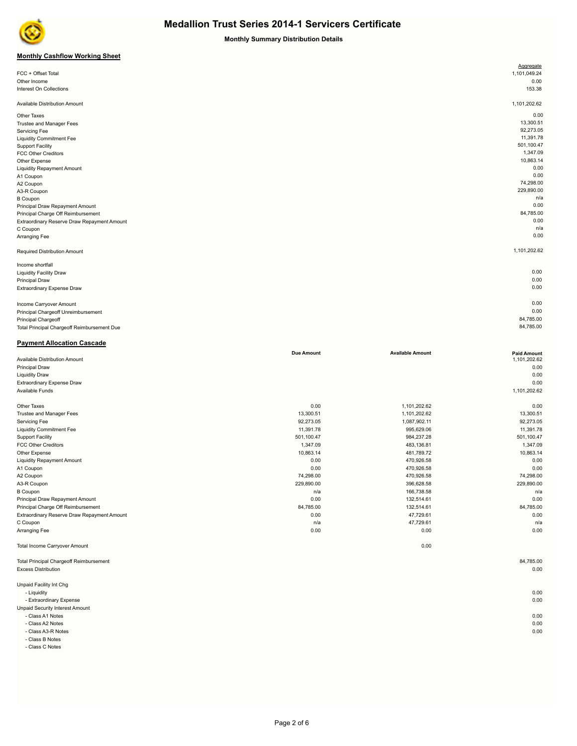

**Monthly Summary Distribution Details**

## **Monthly Cashflow Working Sheet**

|                                             | Aggregate    |
|---------------------------------------------|--------------|
| FCC + Offset Total                          | 1,101,049.24 |
| Other Income                                | 0.00         |
| Interest On Collections                     | 153.38       |
|                                             |              |
| Available Distribution Amount               | 1,101,202.62 |
| Other Taxes                                 | 0.00         |
| Trustee and Manager Fees                    | 13,300.51    |
| Servicing Fee                               | 92,273.05    |
| <b>Liquidity Commitment Fee</b>             | 11,391.78    |
| <b>Support Facility</b>                     | 501,100.47   |
| <b>FCC Other Creditors</b>                  | 1,347.09     |
| Other Expense                               | 10,863.14    |
| <b>Liquidity Repayment Amount</b>           | 0.00         |
| A1 Coupon                                   | 0.00         |
| A2 Coupon                                   | 74,298.00    |
| A3-R Coupon                                 | 229,890.00   |
| <b>B</b> Coupon                             | n/a          |
| Principal Draw Repayment Amount             | 0.00         |
| Principal Charge Off Reimbursement          | 84,785.00    |
| Extraordinary Reserve Draw Repayment Amount | 0.00         |
| C Coupon                                    | n/a          |
| Arranging Fee                               | 0.00         |
| Required Distribution Amount                | 1,101,202.62 |
| Income shortfall                            |              |
| <b>Liquidity Facility Draw</b>              | 0.00         |
| Principal Draw                              | 0.00         |
| Extraordinary Expense Draw                  | 0.00         |
| Income Carryover Amount                     | 0.00         |
| Principal Chargeoff Unreimbursement         | 0.00         |
|                                             | 84,785.00    |
| Principal Chargeoff                         | 84,785.00    |
| Total Principal Chargeoff Reimbursement Due |              |

### **Due Amount Available Amount Paid Amount** Available Distribution Amount Principal Draw 0.00 Liquidity Draw 0.00 Extraordinary Expense Draw 0.00 Available Funds 1,101,202.62 Other Taxes 0.00 1,101,202.62 0.00 Trustee and Manager Fees 13,300.51 13,300.51 1,101,202.62 13,300.51 1,101,202.62 13,300.51 1,101,202.62 13,300 Servicing Fee 32,273.05 2,273.05 2,273.05 2,273.05 2,273.05 2,273.05 2,273.05 2,273.05 2,273.05 2,273.05 2,273.05 Liquidity Commitment Fee 11,391.78 995,629.06 11,391.78 Support Facility 501,100.47 984,237.28 501,100.47 FCC Other Creditors 1,347.09 483,136.81 1,347.09 Other Expense 10,863.14 481,789.72 10,863.14 481,789.72 10,863.14 10,863.14 Liquidity Repayment Amount 0.00 470,926.58 0.00 A1 Coupon 0.00 470,926.58 0.00 A2 Coupon 74,298.00 470,926.58 74,298.00 A3-R Coupon 229,890.00 396,628.58 229,890.00 B Coupon n/a 166,738.58 n/a Principal Draw Repayment Amount **122,514.61** 0.00 132,514.61 0.00 132,514.61 0.00 132,514.61 0.00 Principal Charge Off Reimbursement 84,785.00 132,514.61 84,785.00 Extraordinary Reserve Draw Repayment Amount 0.00 **47,729.61** 0.00 47,729.61 **47,729.61** 0.00 **47,729.61** 0.00  $n/a$  and  $47,729.61$  n/a  $47,729.61$  n/a  $47,729.61$  n/a  $47,729.61$  n/a  $47,729.61$  n/a  $\alpha$ Arranging Fee 0.00 0.00 0.00 Total Income Carryover Amount 0.00 Total Principal Chargeoff Reimbursement 84,785.00 Excess Distribution 0.00 Unpaid Facility Int Chg - Liquidity 0.00 - Extraordinary Expense 0.00

Unpaid Security Interest Amount

**Payment Allocation Cascade**

- Class A1 Notes 0.00

- Class A2 Notes 0.00

- Class A3-R Notes 0.00 - Class B Notes

- Class C Notes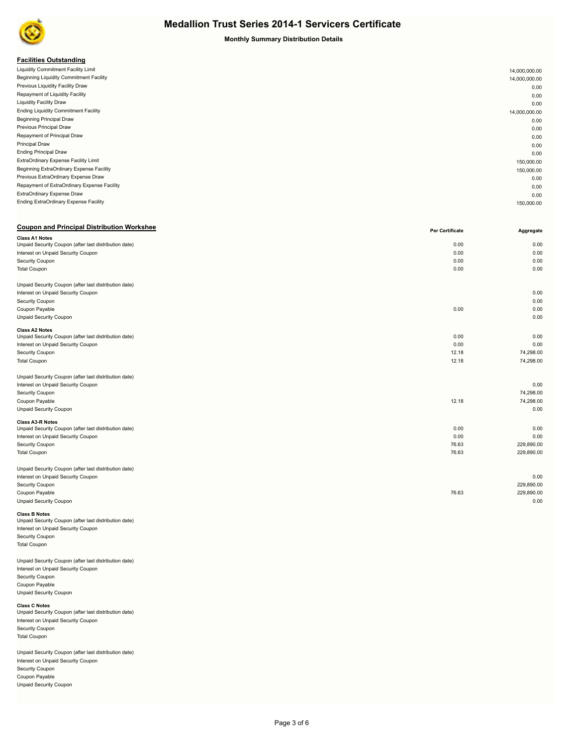

**Monthly Summary Distribution Details**

## **Facilities Outstanding**

| Liquidity Commitment Facility Limit         | 14,000,000.00 |
|---------------------------------------------|---------------|
| Beginning Liquidity Commitment Facility     | 14,000,000.00 |
| Previous Liquidity Facility Draw            | 0.00          |
| Repayment of Liquidity Facility             | 0.00          |
| <b>Liquidity Facility Draw</b>              | 0.00          |
| <b>Ending Liquidity Commitment Facility</b> | 14,000,000.00 |
| <b>Beginning Principal Draw</b>             | 0.00          |
| Previous Principal Draw                     | 0.00          |
| Repayment of Principal Draw                 | 0.00          |
| Principal Draw                              | 0.00          |
| <b>Ending Principal Draw</b>                | 0.00          |
| ExtraOrdinary Expense Facility Limit        | 150,000.00    |
| Beginning ExtraOrdinary Expense Facility    | 150,000.00    |
| Previous ExtraOrdinary Expense Draw         | 0.00          |
| Repayment of ExtraOrdinary Expense Facility | 0.00          |
| ExtraOrdinary Expense Draw                  | 0.00          |
| Ending ExtraOrdinary Expense Facility       | 150,000.00    |
|                                             |               |

## **Coupon and Principal Distribution Workshee Aggregate Periodic Coupon and Principal Distribution Workshee Periodic Coupon and Principal Distribution Workshee Class A1 Notes** Unpaid Security Coupon (after last distribution date) 0.00 0.00 Interest on Unpaid Security Coupon 0.00 0.00 Security Coupon 0.00 0.00 Total Coupon 0.00 0.00 Unpaid Security Coupon (after last distribution date) Interest on Unpaid Security Coupon 0.00 Security Coupon 0.00 Coupon Payable 0.00 0.00 Unpaid Security Coupon 0.00 **Class A2 Notes** Unpaid Security Coupon (after last distribution date) 0.00 0.00 Interest on Unpaid Security Coupon 0.00 0.00 Security Coupon 12.18 74,298.00 Total Coupon 12.18 74,298.00 Unpaid Security Coupon (after last distribution date) Interest on Unpaid Security Coupon 0.00 Security Coupon 74,298.00 Coupon Payable 12.18 74,298.00 Unpaid Security Coupon 0.00 **Class A3-R Notes** Unpaid Security Coupon (after last distribution date) 0.00 0.00 Interest on Unpaid Security Coupon 0.00 0.00 Security Coupon 76.63 229,890.00 Total Coupon 76.63 229,890.00 Unpaid Security Coupon (after last distribution date) Interest on Unpaid Security Coupon 0.00 Security Coupon 229,890.00 Coupon Payable 76.63 229,890.00 Unpaid Security Coupon 0.00

**Class B Notes**<br>Unpaid Security Coupon (after last distribution date) Interest on Unpaid Security Coupon Security Coupon Total Coupon

Unpaid Security Coupon (after last distribution date) Interest on Unpaid Security Coupon Security Coupon Coupon Payable Unpaid Security Coupon

## **Class C Notes**<br>Unpaid Security Coupon (after last distribution date) Interest on Unpaid Security Coupon Security Coupon Total Coupon

Unpaid Security Coupon (after last distribution date) Interest on Unpaid Security Coupon Security Coupon Coupon Payable Unpaid Security Coupon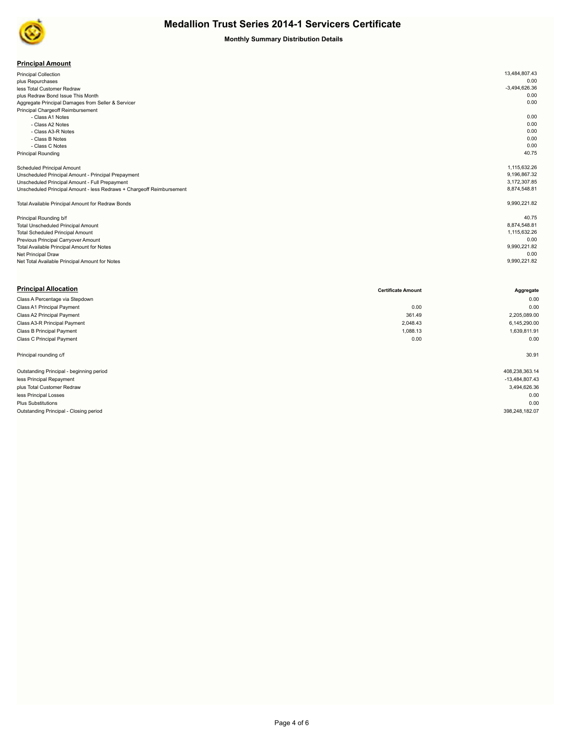

## **Monthly Summary Distribution Details**

| <b>Principal Amount</b> |
|-------------------------|
|-------------------------|

| <b>Principal Collection</b>                                           | 13,484,807.43   |
|-----------------------------------------------------------------------|-----------------|
| plus Repurchases                                                      | 0.00            |
| less Total Customer Redraw                                            | $-3,494,626.36$ |
| plus Redraw Bond Issue This Month                                     | 0.00            |
| Aggregate Principal Damages from Seller & Servicer                    | 0.00            |
| Principal Chargeoff Reimbursement                                     |                 |
| - Class A1 Notes                                                      | 0.00            |
| - Class A2 Notes                                                      | 0.00            |
| - Class A3-R Notes                                                    | 0.00            |
| - Class B Notes                                                       | 0.00            |
| - Class C Notes                                                       | 0.00            |
| <b>Principal Rounding</b>                                             | 40.75           |
|                                                                       |                 |
| Scheduled Principal Amount                                            | 1,115,632.26    |
| Unscheduled Principal Amount - Principal Prepayment                   | 9,196,867.32    |
| Unscheduled Principal Amount - Full Prepayment                        | 3,172,307.85    |
| Unscheduled Principal Amount - less Redraws + Chargeoff Reimbursement | 8,874,548.81    |
|                                                                       |                 |
| Total Available Principal Amount for Redraw Bonds                     | 9,990,221.82    |
|                                                                       |                 |
| Principal Rounding b/f                                                | 40.75           |
| <b>Total Unscheduled Principal Amount</b>                             | 8,874,548.81    |
| <b>Total Scheduled Principal Amount</b>                               | 1,115,632.26    |
| Previous Principal Carryover Amount                                   | 0.00            |
| Total Available Principal Amount for Notes                            | 9,990,221.82    |
| Net Principal Draw                                                    | 0.00            |
| Net Total Available Principal Amount for Notes                        | 9,990,221.82    |
|                                                                       |                 |

| <b>Certificate Amount</b> | Aggregate        |
|---------------------------|------------------|
|                           | 0.00             |
| 0.00                      | 0.00             |
| 361.49                    | 2,205,089.00     |
| 2,048.43                  | 6,145,290.00     |
| 1,088.13                  | 1,639,811.91     |
| 0.00                      | 0.00             |
|                           | 30.91            |
|                           | 408,238,363.14   |
|                           | $-13,484,807.43$ |
|                           | 3,494,626.36     |
|                           | 0.00             |
|                           | 0.00             |
|                           | 398,248,182.07   |
|                           |                  |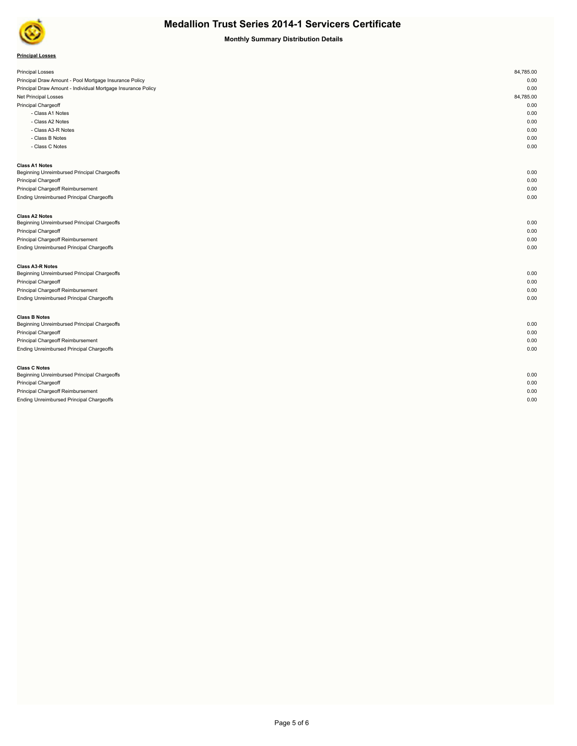

**Monthly Summary Distribution Details**

## **Principal Losses**

| <b>Principal Losses</b>                                      | 84,785.00 |
|--------------------------------------------------------------|-----------|
| Principal Draw Amount - Pool Mortgage Insurance Policy       | 0.00      |
| Principal Draw Amount - Individual Mortgage Insurance Policy | 0.00      |
| Net Principal Losses                                         | 84,785.00 |
| Principal Chargeoff                                          | 0.00      |
|                                                              | 0.00      |
| - Class A1 Notes<br>- Class A2 Notes                         | 0.00      |
|                                                              | 0.00      |
| - Class A3-R Notes                                           |           |
| - Class B Notes                                              | 0.00      |
| - Class C Notes                                              | 0.00      |
| <b>Class A1 Notes</b>                                        |           |
| Beginning Unreimbursed Principal Chargeoffs                  | 0.00      |
| Principal Chargeoff                                          | 0.00      |
| Principal Chargeoff Reimbursement                            | 0.00      |
| Ending Unreimbursed Principal Chargeoffs                     | 0.00      |
| <b>Class A2 Notes</b>                                        |           |
| Beginning Unreimbursed Principal Chargeoffs                  | 0.00      |
| Principal Chargeoff                                          | 0.00      |
| Principal Chargeoff Reimbursement                            | 0.00      |
| Ending Unreimbursed Principal Chargeoffs                     | 0.00      |
| <b>Class A3-R Notes</b>                                      |           |
| Beginning Unreimbursed Principal Chargeoffs                  | 0.00      |
| Principal Chargeoff                                          | 0.00      |
| Principal Chargeoff Reimbursement                            | 0.00      |
| Ending Unreimbursed Principal Chargeoffs                     | 0.00      |
| <b>Class B Notes</b>                                         |           |
| Beginning Unreimbursed Principal Chargeoffs                  | 0.00      |
| Principal Chargeoff                                          | 0.00      |
| Principal Chargeoff Reimbursement                            | 0.00      |
| Ending Unreimbursed Principal Chargeoffs                     | 0.00      |
| <b>Class C Notes</b>                                         |           |
| Beginning Unreimbursed Principal Chargeoffs                  | 0.00      |
| Principal Chargeoff                                          | 0.00      |
| Principal Chargeoff Reimbursement                            | 0.00      |
| Ending Unreimbursed Principal Chargeoffs                     | 0.00      |
|                                                              |           |